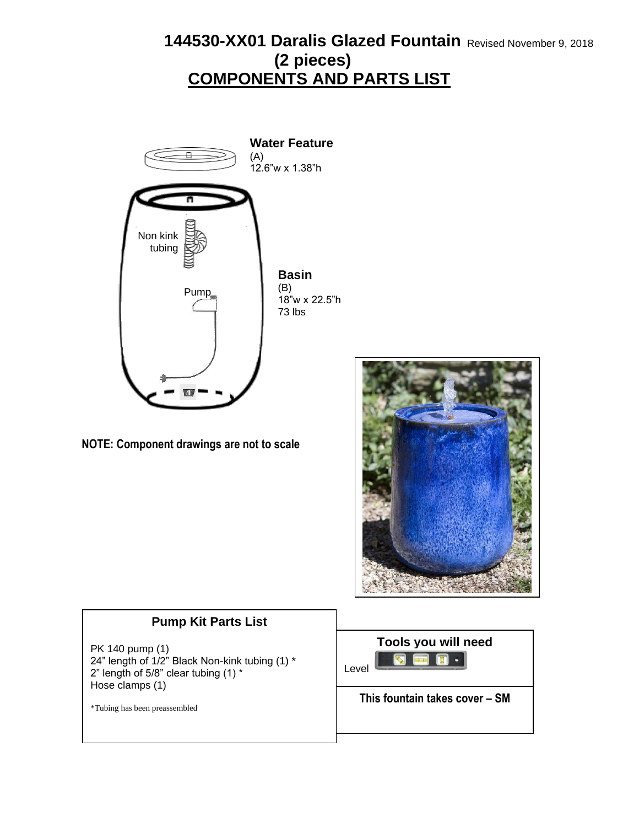### 144530-XX01 Daralis Glazed Fountain Revised November 9, 2018 **COMPONENTS AND PARTS LIST (2 pieces)**



**NOTE: Component drawings are not to scale**